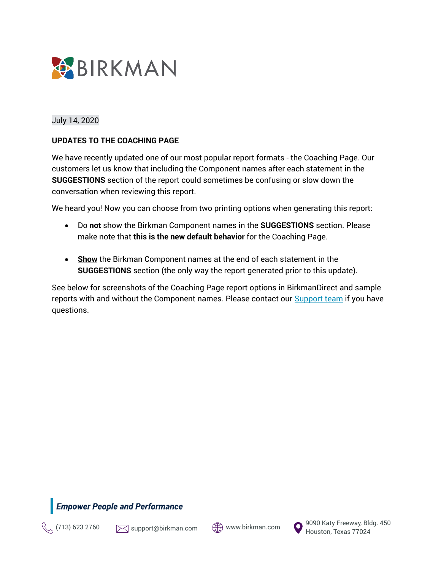

July 14, 2020

### **UPDATES TO THE COACHING PAGE**

We have recently updated one of our most popular report formats - the Coaching Page. Our customers let us know that including the Component names after each statement in the **SUGGESTIONS** section of the report could sometimes be confusing or slow down the conversation when reviewing this report.

We heard you! Now you can choose from two printing options when generating this report:

- Do **not** show the Birkman Component names in the **SUGGESTIONS** section. Please make note that **this is the new default behavior** for the Coaching Page.
- **Show** the Birkman Component names at the end of each statement in the **SUGGESTIONS** section (the only way the report generated prior to this update).

See below for screenshots of the Coaching Page report options in BirkmanDirect and sample reports with and without the Component names. Please contact our **Support team** if you have questions.

**Empower People and Performance** 



9090 Katy Freeway, Bldg. 450  $\left\langle \right\rangle$  (713) 623 2760  $\qquad\qquad$  support@birkman.com  $\qquad\oplus\qquad$  www.birkman.com  $\qquad\qquad$  Houston. Texas 77024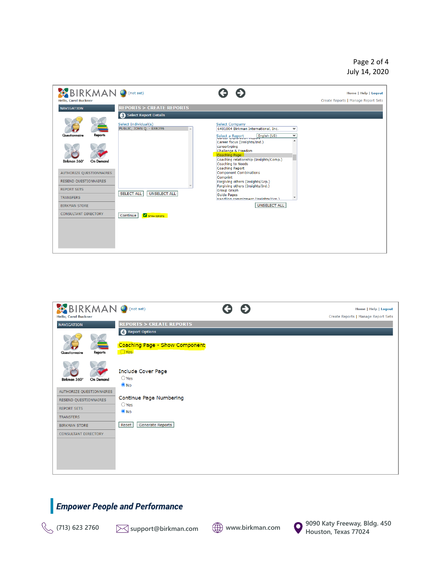#### Page 2 of 4 July 14, 2020





### **Empower People and Performance**



**9090 Katy Freeway, Bldg. 450 Houston, Texas 77024 (713) 623 2760 support@birkman.com www.birkman.com**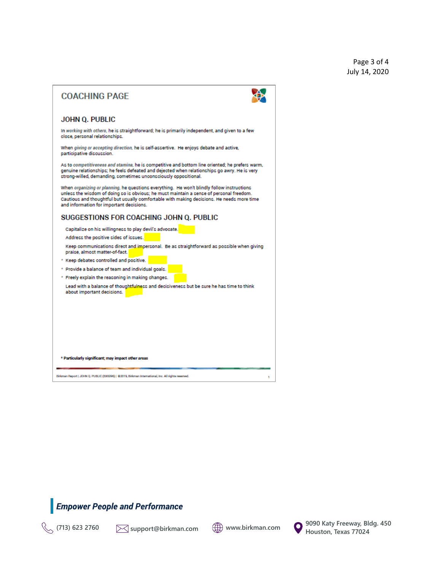| <b>COACHING PAGE</b>                                                                                                                                                                                                                                                                                                                   |
|----------------------------------------------------------------------------------------------------------------------------------------------------------------------------------------------------------------------------------------------------------------------------------------------------------------------------------------|
| JOHN O. PUBLIC                                                                                                                                                                                                                                                                                                                         |
| In working with others, he is straightforward; he is primarily independent, and given to a few<br>close, personal relationships.                                                                                                                                                                                                       |
| When giving or accepting direction, he is self-assertive. He enjoys debate and active,<br>participative discussion.                                                                                                                                                                                                                    |
| As to competitiveness and stamina, he is competitive and bottom line oriented; he prefers warm,<br>genuine relationships; he feels defeated and dejected when relationships go awry. He is very<br>strong-willed, demanding, sometimes unconsciously oppositional.                                                                     |
| When <i>organizing or planning</i> , he questions everything. He won't blindly follow instructions<br>unless the wisdom of doing so is obvious; he must maintain a sense of personal freedom.<br>Cautious and thoughtful but usually comfortable with making decisions. He needs more time<br>and information for important decisions. |
| SUGGESTIONS FOR COACHING JOHN O. PUBLIC                                                                                                                                                                                                                                                                                                |
| Capitalize on his willingness to play devil's advocate.                                                                                                                                                                                                                                                                                |
| Address the positive sides of issues.                                                                                                                                                                                                                                                                                                  |
| Keep communications direct and impersonal. Be as straightforward as possible when giving<br>praise, almost matter-of-fact.                                                                                                                                                                                                             |
| * Keep debates controlled and positive.                                                                                                                                                                                                                                                                                                |
| * Provide a balance of team and individual goals.                                                                                                                                                                                                                                                                                      |
| * Freely explain the reasoning in making changes.                                                                                                                                                                                                                                                                                      |
| Lead with a balance of thoughtfulness and decisiveness but be sure he has time to think<br>about important decisions.                                                                                                                                                                                                                  |
|                                                                                                                                                                                                                                                                                                                                        |
|                                                                                                                                                                                                                                                                                                                                        |
|                                                                                                                                                                                                                                                                                                                                        |
|                                                                                                                                                                                                                                                                                                                                        |
|                                                                                                                                                                                                                                                                                                                                        |
| * Particularly significant; may impact other areas                                                                                                                                                                                                                                                                                     |
| Birkman Report   JOHN Q. PUBLIC (BX6396)   @2019, Birkman International, Inc. All rights reserved.                                                                                                                                                                                                                                     |

# **Empower People and Performance**

**Houston, Texas 77024 (713) 623 2760 support@birkman.com www.birkman.com**



**9090 Katy Freeway, Bldg. 450**